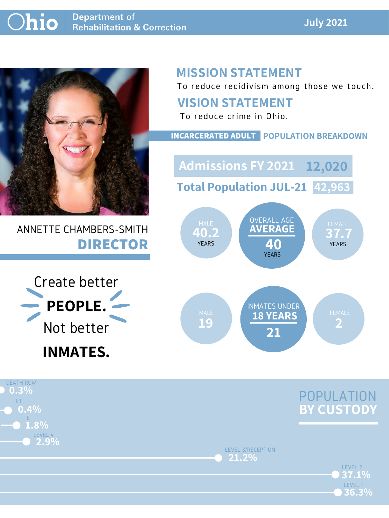#### **July 2021**



## ANNETTE CHAMBERS-SMITH **DIRECTOR**

# **MISSION STATEMENT**

To reduce recidivism among those we touch.



LEVEL 2

LEVEL 3/RECEPTION **21.2%**

LEVEL 1

**36.3%**

**37.1%**



#### **VISION STATEMENT**





To reduce crime in Ohio.

#### **INCARCERATED ADULT POPULATION BREAKDOWN**

**Total Population JUL-21 42,963**

**Admissions FY 2021 12,020**

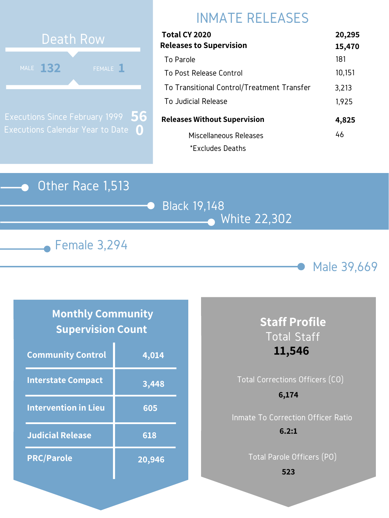

## Black 19,148 White 22,302





# INMATE RELEASES



Executions Since February 1999 Executions Calendar Year to Date **0 56**

#### **Monthly Community Supervision Count**

| Total CY 2020                              | 20,295 |
|--------------------------------------------|--------|
| <b>Releases to Supervision</b>             | 15,470 |
| To Parole                                  | 181    |
| To Post Release Control                    | 10,151 |
| To Transitional Control/Treatment Transfer | 3,213  |
| To Judicial Release                        | 1,925  |
| <b>Releases Without Supervision</b>        | 4,825  |
| Miscellaneous Releases                     | 46     |
| *Excludes Deaths                           |        |

| <b>Community Control</b>    | 4,014  |
|-----------------------------|--------|
| <b>Interstate Compact</b>   | 3,448  |
| <b>Intervention in Lieu</b> | 605    |
| <b>Judicial Release</b>     | 618    |
| <b>PRC/Parole</b>           | 20,946 |

#### **Staff Profile** Total Staff **11,546**

## Total Corrections Officers (CO) Inmate To Correction Officer Ratio **6,174 6.2:1**

Total Parole Officers (PO)

**523**